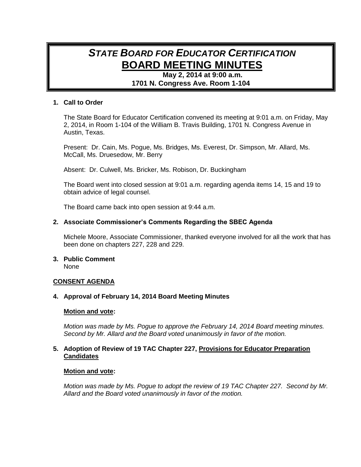# *STATE BOARD FOR EDUCATOR CERTIFICATION* **BOARD MEETING MINUTES**

**May 2, 2014 at 9:00 a.m. 1701 N. Congress Ave. Room 1-104**

# **1. Call to Order**

The State Board for Educator Certification convened its meeting at 9:01 a.m. on Friday, May 2, 2014, in Room 1-104 of the William B. Travis Building, 1701 N. Congress Avenue in Austin, Texas.

Present: Dr. Cain, Ms. Pogue, Ms. Bridges, Ms. Everest, Dr. Simpson, Mr. Allard, Ms. McCall, Ms. Druesedow, Mr. Berry

Absent: Dr. Culwell, Ms. Bricker, Ms. Robison, Dr. Buckingham

The Board went into closed session at 9:01 a.m. regarding agenda items 14, 15 and 19 to obtain advice of legal counsel.

The Board came back into open session at 9:44 a.m.

# **2. Associate Commissioner's Comments Regarding the SBEC Agenda**

Michele Moore, Associate Commissioner, thanked everyone involved for all the work that has been done on chapters 227, 228 and 229.

#### **3. Public Comment** None

# **CONSENT AGENDA**

## **4. Approval of February 14, 2014 Board Meeting Minutes**

#### **Motion and vote:**

*Motion was made by Ms. Pogue to approve the February 14, 2014 Board meeting minutes. Second by Mr. Allard and the Board voted unanimously in favor of the motion.*

# **5. Adoption of Review of 19 TAC Chapter 227, Provisions for Educator Preparation Candidates**

#### **Motion and vote:**

*Motion was made by Ms. Pogue to adopt the review of 19 TAC Chapter 227. Second by Mr. Allard and the Board voted unanimously in favor of the motion.*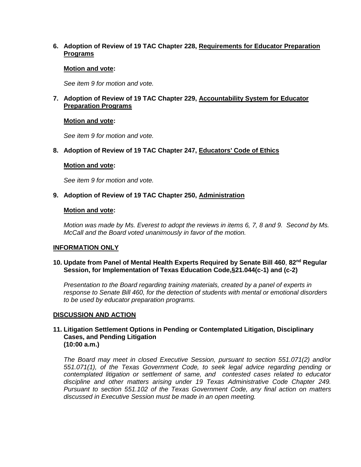# **6. Adoption of Review of 19 TAC Chapter 228, Requirements for Educator Preparation Programs**

## **Motion and vote:**

*See item 9 for motion and vote.*

# **7. Adoption of Review of 19 TAC Chapter 229, Accountability System for Educator Preparation Programs**

# **Motion and vote:**

*See item 9 for motion and vote.*

# **8. Adoption of Review of 19 TAC Chapter 247, Educators' Code of Ethics**

## **Motion and vote:**

*See item 9 for motion and vote.*

# **9. Adoption of Review of 19 TAC Chapter 250, Administration**

## **Motion and vote:**

*Motion was made by Ms. Everest to adopt the reviews in items 6, 7, 8 and 9. Second by Ms. McCall and the Board voted unanimously in favor of the motion.*

# **INFORMATION ONLY**

## **10. Update from Panel of Mental Health Experts Required by Senate Bill 460**, **82nd Regular Session, for Implementation of Texas Education Code,§21.044(c-1) and (c-2)**

*Presentation to the Board regarding training materials, created by a panel of experts in response to Senate Bill 460, for the detection of students with mental or emotional disorders to be used by educator preparation programs.*

#### **DISCUSSION AND ACTION**

## **11. Litigation Settlement Options in Pending or Contemplated Litigation, Disciplinary Cases, and Pending Litigation (10:00 a.m.)**

*The Board may meet in closed Executive Session, pursuant to section 551.071(2) and/or 551.071(1), of the Texas Government Code, to seek legal advice regarding pending or contemplated litigation or settlement of same, and contested cases related to educator discipline and other matters arising under 19 Texas Administrative Code Chapter 249. Pursuant to section 551.102 of the Texas Government Code, any final action on matters discussed in Executive Session must be made in an open meeting.*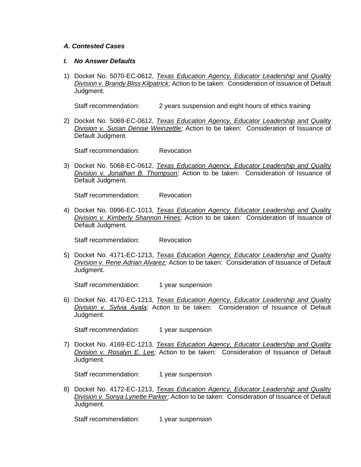#### *A. Contested Cases*

#### *I. No Answer Defaults*

1) Docket No. 5070-EC-0612, *Texas Education Agency, Educator Leadership and Quality Division v. Brandy Bliss Kilpatrick;* Action to be taken: Consideration of Issuance of Default Judgment.

Staff recommendation: 2 years suspension and eight hours of ethics training

2) Docket No. 5069-EC-0612, *Texas Education Agency, Educator Leadership and Quality Division v. Susan Denise Weinzettle;* Action to be taken: Consideration of Issuance of Default Judgment.

Staff recommendation: Revocation

3) Docket No. 5068-EC-0612, *Texas Education Agency, Educator Leadership and Quality Division v. Jonathan B. Thompson;* Action to be taken: Consideration of Issuance of Default Judgment.

Staff recommendation: Revocation

4) Docket No. 0996-EC-1013, *Texas Education Agency, Educator Leadership and Quality Division v. Kimberly Shannon Hines;* Action to be taken: Consideration of Issuance of Default Judgment.

Staff recommendation: Revocation

5) Docket No. 4171-EC-1213, *Texas Education Agency, Educator Leadership and Quality Division v. Rene Adrian Alvarez;* Action to be taken: Consideration of Issuance of Default Judgment.

Staff recommendation: 1 year suspension

6) Docket No. 4170-EC-1213, *Texas Education Agency, Educator Leadership and Quality Division v. Sylvia Ayala;* Action to be taken: Consideration of Issuance of Default Judgment.

Staff recommendation: 1 year suspension

7) Docket No. 4169-EC-1213, *Texas Education Agency, Educator Leadership and Quality Division v. Rosalyn E. Lee;* Action to be taken: Consideration of Issuance of Default Judgment.

Staff recommendation: 1 year suspension

8) Docket No. 4172-EC-1213, *Texas Education Agency, Educator Leadership and Quality Division v. Sonya Lynette Parker;* Action to be taken: Consideration of Issuance of Default Judgment.

Staff recommendation: 1 year suspension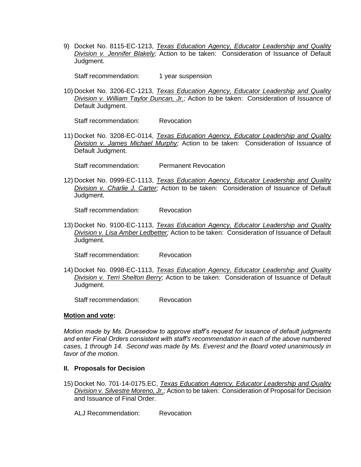9) Docket No. 8115-EC-1213, *Texas Education Agency, Educator Leadership and Quality Division v. Jennifer Blakely;* Action to be taken: Consideration of Issuance of Default Judgment.

Staff recommendation: 1 year suspension

10) Docket No. 3206-EC-1213, *Texas Education Agency, Educator Leadership and Quality Division v. William Taylor Duncan, Jr.;* Action to be taken: Consideration of Issuance of Default Judgment.

Staff recommendation: Revocation

11) Docket No. 3208-EC-0114, *Texas Education Agency, Educator Leadership and Quality Division v. James Michael Murphy;* Action to be taken: Consideration of Issuance of Default Judgment.

Staff recommendation: Permanent Revocation

12) Docket No. 0999-EC-1113, *Texas Education Agency, Educator Leadership and Quality Division v. Charlie J. Carter;* Action to be taken: Consideration of Issuance of Default Judgment.

Staff recommendation: Revocation

13) Docket No. 9100-EC-1113, *Texas Education Agency, Educator Leadership and Quality Division v. Lisa Amber Ledbetter;* Action to be taken: Consideration of Issuance of Default Judgment.

Staff recommendation: Revocation

14) Docket No. 0998-EC-1113, *Texas Education Agency, Educator Leadership and Quality Division v. Terri Shelton Berry;* Action to be taken: Consideration of Issuance of Default Judgment.

Staff recommendation: Revocation

#### **Motion and vote:**

*Motion made by Ms. Druesedow to approve staff's request for issuance of default judgments and enter Final Orders consistent with staff's recommendation in each of the above numbered cases, 1 through 14. Second was made by Ms. Everest and the Board voted unanimously in favor of the motion.*

#### **II. Proposals for Decision**

15) Docket No. 701-14-0175.EC, *Texas Education Agency, Educator Leadership and Quality Division v. Silvestre Moreno, Jr.;* Action to be taken: Consideration of Proposal for Decision and Issuance of Final Order.

ALJ Recommendation: Revocation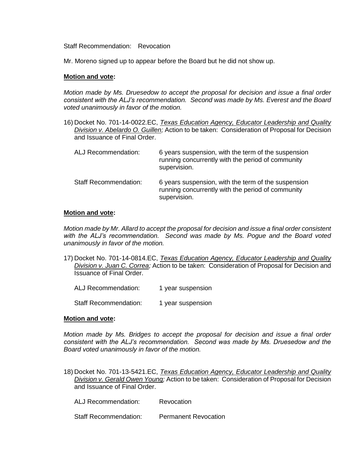Staff Recommendation: Revocation

Mr. Moreno signed up to appear before the Board but he did not show up.

#### **Motion and vote:**

*Motion made by Ms. Druesedow to accept the proposal for decision and issue a final order consistent with the ALJ's recommendation. Second was made by Ms. Everest and the Board voted unanimously in favor of the motion.*

16) Docket No. 701-14-0022.EC, *Texas Education Agency, Educator Leadership and Quality Division v. Abelardo O. Guillen;* Action to be taken: Consideration of Proposal for Decision and Issuance of Final Order.

| ALJ Recommendation:          | 6 years suspension, with the term of the suspension<br>running concurrently with the period of community<br>supervision. |
|------------------------------|--------------------------------------------------------------------------------------------------------------------------|
| <b>Staff Recommendation:</b> | 6 years suspension, with the term of the suspension<br>running concurrently with the period of community<br>supervision. |

#### **Motion and vote:**

*Motion made by Mr. Allard to accept the proposal for decision and issue a final order consistent with the ALJ's recommendation. Second was made by Ms. Pogue and the Board voted unanimously in favor of the motion.*

- 17) Docket No. 701-14-0814.EC, *Texas Education Agency, Educator Leadership and Quality Division v. Juan C. Correa;* Action to be taken: Consideration of Proposal for Decision and Issuance of Final Order.
	- ALJ Recommendation: 1 year suspension

Staff Recommendation: 1 year suspension

#### **Motion and vote:**

*Motion made by Ms. Bridges to accept the proposal for decision and issue a final order consistent with the ALJ's recommendation. Second was made by Ms. Druesedow and the Board voted unanimously in favor of the motion.*

18) Docket No. 701-13-5421.EC, *Texas Education Agency, Educator Leadership and Quality Division v. Gerald Owen Young;* Action to be taken: Consideration of Proposal for Decision and Issuance of Final Order.

ALJ Recommendation: Revocation

Staff Recommendation: Permanent Revocation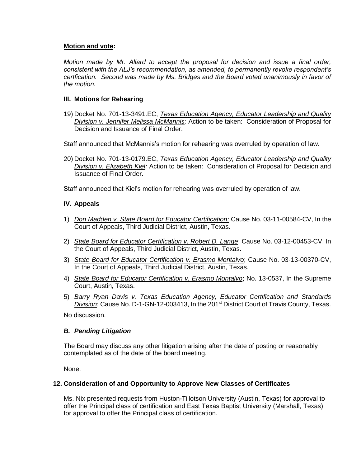# **Motion and vote:**

*Motion made by Mr. Allard to accept the proposal for decision and issue a final order, consistent with the ALJ's recommendation, as amended, to permanently revoke respondent's certfication. Second was made by Ms. Bridges and the Board voted unanimously in favor of the motion.*

# **III. Motions for Rehearing**

19) Docket No. 701-13-3491.EC, *Texas Education Agency, Educator Leadership and Quality Division v. Jennifer Melissa McMannis;* Action to be taken: Consideration of Proposal for Decision and Issuance of Final Order.

Staff announced that McMannis's motion for rehearing was overruled by operation of law.

20) Docket No. 701-13-0179.EC, *Texas Education Agency, Educator Leadership and Quality Division v. Elizabeth Kiel;* Action to be taken: Consideration of Proposal for Decision and Issuance of Final Order.

Staff announced that Kiel's motion for rehearing was overruled by operation of law.

# **IV. Appeals**

- 1) *Don Madden v. State Board for Educator Certification;* Cause No. 03-11-00584-CV, In the Court of Appeals, Third Judicial District, Austin, Texas.
- 2) *State Board for Educator Certification v. Robert D. Lange*; Cause No. 03-12-00453-CV, In the Court of Appeals, Third Judicial District, Austin, Texas.
- 3) *State Board for Educator Certification v. Erasmo Montalvo*; Cause No. 03-13-00370-CV, In the Court of Appeals, Third Judicial District, Austin, Texas.
- 4) *State Board for Educator Certification v. Erasmo Montalvo*; No. 13-0537, In the Supreme Court, Austin, Texas.
- 5) *Barry Ryan Davis v. Texas Education Agency, Educator Certification and Standards Division*; Cause No. D-1-GN-12-003413, In the 201st District Court of Travis County, Texas.

No discussion.

# *B. Pending Litigation*

The Board may discuss any other litigation arising after the date of posting or reasonably contemplated as of the date of the board meeting.

None.

# **12. Consideration of and Opportunity to Approve New Classes of Certificates**

Ms. Nix presented requests from Huston-Tillotson University (Austin, Texas) for approval to offer the Principal class of certification and East Texas Baptist University (Marshall, Texas) for approval to offer the Principal class of certification.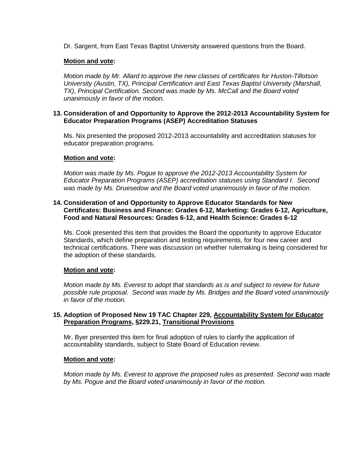Dr. Sargent, from East Texas Baptist University answered questions from the Board.

# **Motion and vote:**

*Motion made by Mr. Allard to approve the new classes of certificates for Huston-Tillotson University (Austin, TX), Principal Certification and East Texas Baptist University (Marshall, TX), Principal Certification. Second was made by Ms. McCall and the Board voted unanimously in favor of the motion.*

## **13. Consideration of and Opportunity to Approve the 2012-2013 Accountability System for Educator Preparation Programs (ASEP) Accreditation Statuses**

Ms. Nix presented the proposed 2012-2013 accountability and accreditation statuses for educator preparation programs.

## **Motion and vote:**

*Motion was made by Ms. Pogue to approve the 2012-2013 Accountability System for Educator Preparation Programs (ASEP) accreditation statuses using Standard I. Second was made by Ms. Druesedow and the Board voted unanimously in favor of the motion.*

## **14. Consideration of and Opportunity to Approve Educator Standards for New Certificates: Business and Finance: Grades 6-12, Marketing: Grades 6-12, Agriculture, Food and Natural Resources: Grades 6-12, and Health Science: Grades 6-12**

Ms. Cook presented this item that provides the Board the opportunity to approve Educator Standards, which define preparation and testing requirements, for four new career and technical certifications. There was discussion on whether rulemaking is being considered for the adoption of these standards.

#### **Motion and vote:**

*Motion made by Ms. Everest to adopt that standards as is and subject to review for future possible rule proposal. Second was made by Ms. Bridges and the Board voted unanimously in favor of the motion.*

## **15. Adoption of Proposed New 19 TAC Chapter 229, Accountability System for Educator Preparation Programs, §229.21, Transitional Provisions**

Mr. Byer presented this item for final adoption of rules to clarify the application of accountability standards, subject to State Board of Education review.

#### **Motion and vote:**

*Motion made by Ms. Everest to approve the proposed rules as presented. Second was made by Ms. Pogue and the Board voted unanimously in favor of the motion.*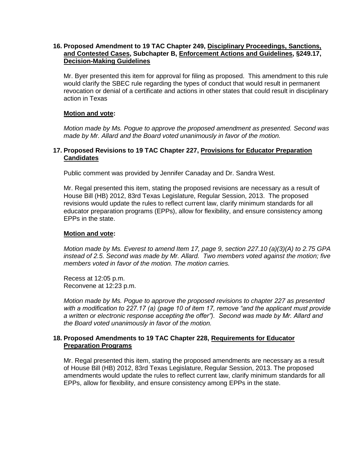# **16. Proposed Amendment to 19 TAC Chapter 249, Disciplinary Proceedings, Sanctions, and Contested Cases, Subchapter B, Enforcement Actions and Guidelines, §249.17, Decision-Making Guidelines**

Mr. Byer presented this item for approval for filing as proposed. This amendment to this rule would clarify the SBEC rule regarding the types of conduct that would result in permanent revocation or denial of a certificate and actions in other states that could result in disciplinary action in Texas

## **Motion and vote:**

*Motion made by Ms. Pogue to approve the proposed amendment as presented. Second was made by Mr. Allard and the Board voted unanimously in favor of the motion.*

## **17. Proposed Revisions to 19 TAC Chapter 227, Provisions for Educator Preparation Candidates**

Public comment was provided by Jennifer Canaday and Dr. Sandra West.

Mr. Regal presented this item, stating the proposed revisions are necessary as a result of House Bill (HB) 2012, 83rd Texas Legislature, Regular Session, 2013. The proposed revisions would update the rules to reflect current law, clarify minimum standards for all educator preparation programs (EPPs), allow for flexibility, and ensure consistency among EPPs in the state.

## **Motion and vote:**

*Motion made by Ms. Everest to amend Item 17, page 9, section 227.10 (a)(3)(A) to 2.75 GPA instead of 2.5. Second was made by Mr. Allard. Two members voted against the motion; five members voted in favor of the motion. The motion carries.*

Recess at 12:05 p.m. Reconvene at 12:23 p.m.

*Motion made by Ms. Pogue to approve the proposed revisions to chapter 227 as presented with a modification to 227.17 (a) (page 10 of item 17, remove "and the applicant must provide a written or electronic response accepting the offer"). Second was made by Mr. Allard and the Board voted unanimously in favor of the motion.*

## **18. Proposed Amendments to 19 TAC Chapter 228, Requirements for Educator Preparation Programs**

Mr. Regal presented this item, stating the proposed amendments are necessary as a result of House Bill (HB) 2012, 83rd Texas Legislature, Regular Session, 2013. The proposed amendments would update the rules to reflect current law, clarify minimum standards for all EPPs, allow for flexibility, and ensure consistency among EPPs in the state.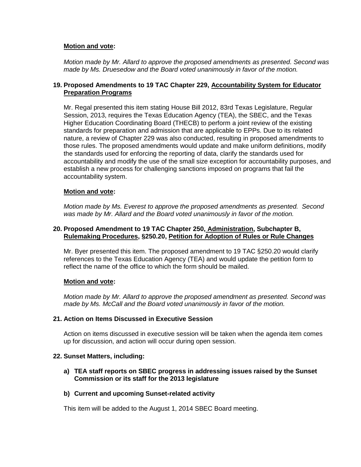# **Motion and vote:**

*Motion made by Mr. Allard to approve the proposed amendments as presented. Second was made by Ms. Druesedow and the Board voted unanimously in favor of the motion.*

# **19. Proposed Amendments to 19 TAC Chapter 229, Accountability System for Educator Preparation Programs**

Mr. Regal presented this item stating House Bill 2012, 83rd Texas Legislature, Regular Session, 2013, requires the Texas Education Agency (TEA), the SBEC, and the Texas Higher Education Coordinating Board (THECB) to perform a joint review of the existing standards for preparation and admission that are applicable to EPPs. Due to its related nature, a review of Chapter 229 was also conducted, resulting in proposed amendments to those rules. The proposed amendments would update and make uniform definitions, modify the standards used for enforcing the reporting of data, clarify the standards used for accountability and modify the use of the small size exception for accountability purposes, and establish a new process for challenging sanctions imposed on programs that fail the accountability system.

## **Motion and vote:**

*Motion made by Ms. Everest to approve the proposed amendments as presented. Second was made by Mr. Allard and the Board voted unanimously in favor of the motion.*

#### **20. Proposed Amendment to 19 TAC Chapter 250, Administration, Subchapter B, Rulemaking Procedures, §250.20, Petition for Adoption of Rules or Rule Changes**

Mr. Byer presented this item. The proposed amendment to 19 TAC §250.20 would clarify references to the Texas Education Agency (TEA) and would update the petition form to reflect the name of the office to which the form should be mailed.

#### **Motion and vote:**

*Motion made by Mr. Allard to approve the proposed amendment as presented. Second was made by Ms. McCall and the Board voted unanimously in favor of the motion.*

#### **21. Action on Items Discussed in Executive Session**

Action on items discussed in executive session will be taken when the agenda item comes up for discussion, and action will occur during open session.

## **22. Sunset Matters, including:**

## **a) TEA staff reports on SBEC progress in addressing issues raised by the Sunset Commission or its staff for the 2013 legislature**

#### **b) Current and upcoming Sunset-related activity**

This item will be added to the August 1, 2014 SBEC Board meeting.